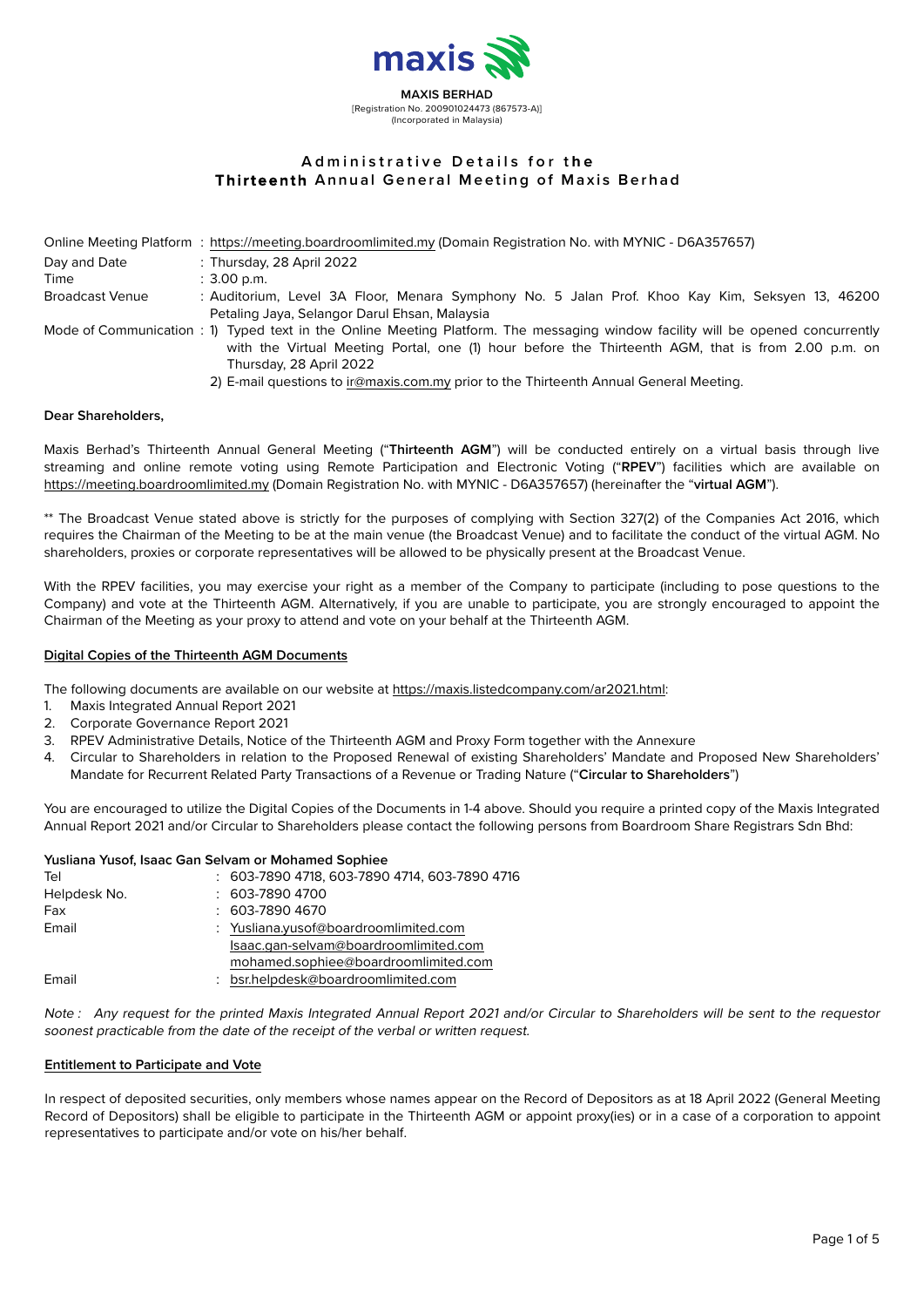

# **Admi nist r a tive Deta i l s fo r th e Thirteenth** Annual General Meeting of Maxis Berhad

|                        | Online Meeting Platform: https://meeting.boardroomlimited.my (Domain Registration No. with MYNIC - D6A357657)                         |
|------------------------|---------------------------------------------------------------------------------------------------------------------------------------|
| Day and Date           | : Thursday, 28 April 2022                                                                                                             |
| Time                   | $: 3.00$ p.m.                                                                                                                         |
| <b>Broadcast Venue</b> | : Auditorium, Level 3A Floor, Menara Symphony No. 5 Jalan Prof. Khoo Kay Kim, Seksyen 13, 46200                                       |
|                        | Petaling Jaya, Selangor Darul Ehsan, Malaysia                                                                                         |
|                        | Mode of Communication : 1) Typed text in the Online Meeting Platform. The messaging window facility will be opened concurrently       |
|                        | with the Virtual Meeting Portal, one (1) hour before the Thirteenth AGM, that is from 2.00 p.m. on                                    |
|                        | Thursday, 28 April 2022                                                                                                               |
|                        | $\mathbf{P}$ . Functionally in the contract of the state of the Third and Assembly $\mathbf{P}$ are set $\mathbf{M}$ and $\mathbf{M}$ |

2) E-mail questions to ir@maxis.com.my prior to the Thirteenth Annual General Meeting.

## **Dear Shareholders,**

Maxis Berhad's Thirteenth Annual General Meeting ("**Thirteenth AGM**") will be conducted entirely on a virtual basis through live streaming and online remote voting using Remote Participation and Electronic Voting ("**RPEV**") facilities which are available on https://meeting.boardroomlimited.my (Domain Registration No. with MYNIC - D6A357657) (hereinafter the "**virtual AGM**").

\*\* The Broadcast Venue stated above is strictly for the purposes of complying with Section 327(2) of the Companies Act 2016, which requires the Chairman of the Meeting to be at the main venue (the Broadcast Venue) and to facilitate the conduct of the virtual AGM. No shareholders, proxies or corporate representatives will be allowed to be physically present at the Broadcast Venue.

With the RPEV facilities, you may exercise your right as a member of the Company to participate (including to pose questions to the Company) and vote at the Thirteenth AGM. Alternatively, if you are unable to participate, you are strongly encouraged to appoint the Chairman of the Meeting as your proxy to attend and vote on your behalf at the Thirteenth AGM.

## **Digital Copies of the Thirteenth AGM Documents**

The following documents are available on our website at [https://maxis.listedcompany.com/ar2021.html:](https://maxis.listedcompany.com/ar2021.html)

- 1. Maxis Integrated Annual Report 2021
- 2. Corporate Governance Report 2021
- 3. RPEV Administrative Details, Notice of the Thirteenth AGM and Proxy Form together with the Annexure
- 4. Circular to Shareholders in relation to the Proposed Renewal of existing Shareholders' Mandate and Proposed New Shareholders' Mandate for Recurrent Related Party Transactions of a Revenue or Trading Nature ("**Circular to Shareholders**")

You are encouraged to utilize the Digital Copies of the Documents in 1-4 above. Should you require a printed copy of the Maxis Integrated Annual Report 2021 and/or Circular to Shareholders please contact the following persons from Boardroom Share Registrars Sdn Bhd:

### **Yusliana Yusof, Isaac Gan Selvam or Mohamed Sophiee**

| Tel          | : 603-7890 4718, 603-7890 4714, 603-7890 4716 |
|--------------|-----------------------------------------------|
| Helpdesk No. | $: 603-78904700$                              |
| Fax          | : 603-7890 4670                               |
| Email        | : Yusliana.yusof@boardroomlimited.com         |
|              | Isaac.gan-selvam@boardroomlimited.com         |
|              | mohamed.sophiee@boardroomlimited.com          |
| Email        | : bsr.helpdesk@boardroomlimited.com           |
|              |                                               |

Note : Any request for the printed Maxis Integrated Annual Report 2021 and/or Circular to Shareholders will be sent to the requestor soonest practicable from the date of the receipt of the verbal or written request.

# **Entitlement to Participate and Vote**

In respect of deposited securities, only members whose names appear on the Record of Depositors as at 18 April 2022 (General Meeting Record of Depositors) shall be eligible to participate in the Thirteenth AGM or appoint proxy(ies) or in a case of a corporation to appoint representatives to participate and/or vote on his/her behalf.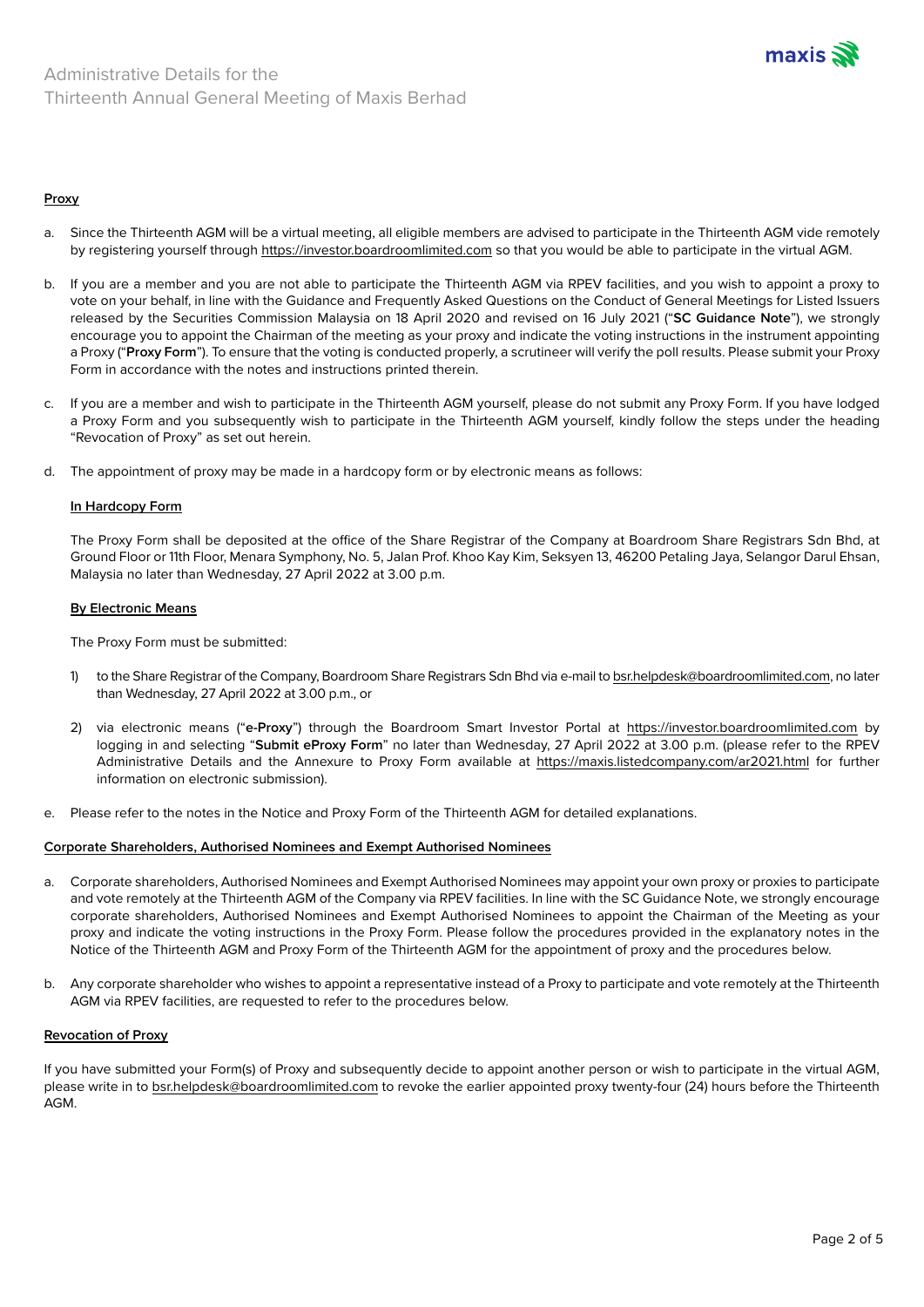

## **Proxy**

- a. Since the Thirteenth AGM will be a virtual meeting, all eligible members are advised to participate in the Thirteenth AGM vide remotely by registering yourself through https://investor.boardroomlimited.com so that you would be able to participate in the virtual AGM.
- b. If you are a member and you are not able to participate the Thirteenth AGM via RPEV facilities, and you wish to appoint a proxy to vote on your behalf, in line with the Guidance and Frequently Asked Questions on the Conduct of General Meetings for Listed Issuers released by the Securities Commission Malaysia on 18 April 2020 and revised on 16 July 2021 ("**SC Guidance Note**"), we strongly encourage you to appoint the Chairman of the meeting as your proxy and indicate the voting instructions in the instrument appointing a Proxy ("**Proxy Form**"). To ensure that the voting is conducted properly, a scrutineer will verify the poll results. Please submit your Proxy Form in accordance with the notes and instructions printed therein.
- c. If you are a member and wish to participate in the Thirteenth AGM yourself, please do not submit any Proxy Form. If you have lodged a Proxy Form and you subsequently wish to participate in the Thirteenth AGM yourself, kindly follow the steps under the heading "Revocation of Proxy" as set out herein.
- d. The appointment of proxy may be made in a hardcopy form or by electronic means as follows:

## **In Hardcopy Form**

The Proxy Form shall be deposited at the office of the Share Registrar of the Company at Boardroom Share Registrars Sdn Bhd, at Ground Floor or 11th Floor, Menara Symphony, No. 5, Jalan Prof. Khoo Kay Kim, Seksyen 13, 46200 Petaling Jaya, Selangor Darul Ehsan, Malaysia no later than Wednesday, 27 April 2022 at 3.00 p.m.

### **By Electronic Means**

The Proxy Form must be submitted:

- 1) to the Share Registrar of the Company, Boardroom Share Registrars Sdn Bhd via e-mail to bsr.helpdesk@boardroomlimited.com, no later than Wednesday, 27 April 2022 at 3.00 p.m., or
- 2) via electronic means ("**e-Proxy**") through the Boardroom Smart Investor Portal at https://investor.boardroomlimited.com by logging in and selecting "**Submit eProxy Form**" no later than Wednesday, 27 April 2022 at 3.00 p.m. (please refer to the RPEV Administrative Details and the Annexure to Proxy Form available at https://maxis.listedcompany.com/ar2021.html for further information on electronic submission).
- e. Please refer to the notes in the Notice and Proxy Form of the Thirteenth AGM for detailed explanations.

## **Corporate Shareholders, Authorised Nominees and Exempt Authorised Nominees**

- a. Corporate shareholders, Authorised Nominees and Exempt Authorised Nominees may appoint your own proxy or proxies to participate and vote remotely at the Thirteenth AGM of the Company via RPEV facilities. In line with the SC Guidance Note, we strongly encourage corporate shareholders, Authorised Nominees and Exempt Authorised Nominees to appoint the Chairman of the Meeting as your proxy and indicate the voting instructions in the Proxy Form. Please follow the procedures provided in the explanatory notes in the Notice of the Thirteenth AGM and Proxy Form of the Thirteenth AGM for the appointment of proxy and the procedures below.
- b. Any corporate shareholder who wishes to appoint a representative instead of a Proxy to participate and vote remotely at the Thirteenth AGM via RPEV facilities, are requested to refer to the procedures below.

### **Revocation of Proxy**

If you have submitted your Form(s) of Proxy and subsequently decide to appoint another person or wish to participate in the virtual AGM, please write in to bsr.helpdesk@boardroomlimited.com to revoke the earlier appointed proxy twenty-four (24) hours before the Thirteenth AGM.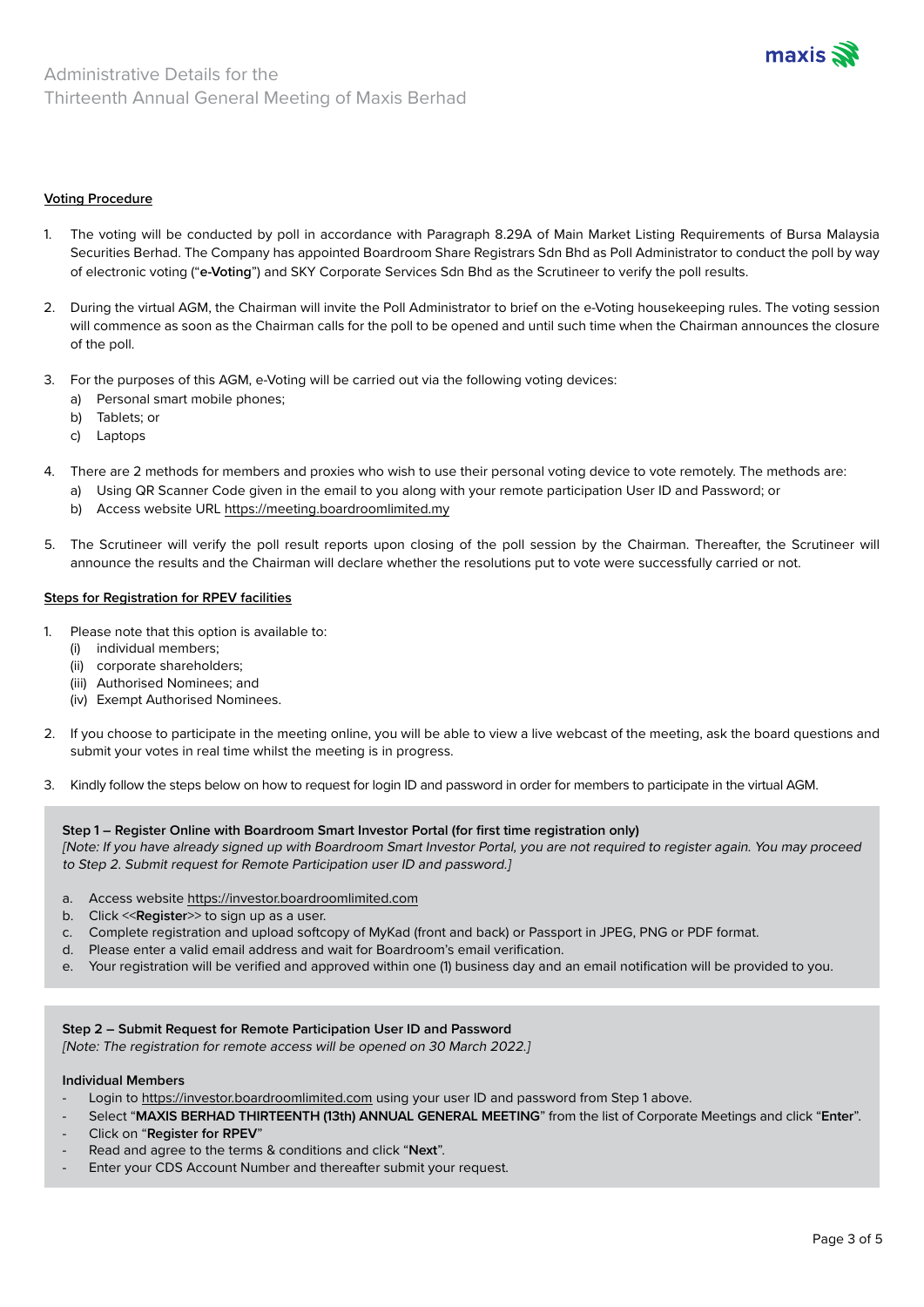

## **Voting Procedure**

- 1. The voting will be conducted by poll in accordance with Paragraph 8.29A of Main Market Listing Requirements of Bursa Malaysia Securities Berhad. The Company has appointed Boardroom Share Registrars Sdn Bhd as Poll Administrator to conduct the poll by way of electronic voting ("**e-Voting**") and SKY Corporate Services Sdn Bhd as the Scrutineer to verify the poll results.
- 2. During the virtual AGM, the Chairman will invite the Poll Administrator to brief on the e-Voting housekeeping rules. The voting session will commence as soon as the Chairman calls for the poll to be opened and until such time when the Chairman announces the closure of the poll.
- 3. For the purposes of this AGM, e-Voting will be carried out via the following voting devices:
	- a) Personal smart mobile phones;
	- b) Tablets; or
	- c) Laptops
- 4. There are 2 methods for members and proxies who wish to use their personal voting device to vote remotely. The methods are:
	- a) Using QR Scanner Code given in the email to you along with your remote participation User ID and Password; or
	- b) Access website URL https://meeting.boardroomlimited.my
- 5. The Scrutineer will verify the poll result reports upon closing of the poll session by the Chairman. Thereafter, the Scrutineer will announce the results and the Chairman will declare whether the resolutions put to vote were successfully carried or not.

### **Steps for Registration for RPEV facilities**

- 1. Please note that this option is available to:
	- (i) individual members;
	- (ii) corporate shareholders;
	- (iii) Authorised Nominees; and
	- (iv) Exempt Authorised Nominees.
- 2. If you choose to participate in the meeting online, you will be able to view a live webcast of the meeting, ask the board questions and submit your votes in real time whilst the meeting is in progress.
- 3. Kindly follow the steps below on how to request for login ID and password in order for members to participate in the virtual AGM.

## **Step 1 – Register Online with Boardroom Smart Investor Portal (for first time registration only)**

[Note: If you have already signed up with Boardroom Smart Investor Portal, you are not required to register again. You may proceed to Step 2. Submit request for Remote Participation user ID and password.]

- a. Access website https://investor.boardroomlimited.com
- b. Click <<**Register**>> to sign up as a user.
- c. Complete registration and upload softcopy of MyKad (front and back) or Passport in JPEG, PNG or PDF format.
- d. Please enter a valid email address and wait for Boardroom's email verification.
- e. Your registration will be verified and approved within one (1) business day and an email notification will be provided to you.

### **Step 2 – Submit Request for Remote Participation User ID and Password** [Note: The registration for remote access will be opened on 30 March 2022.]

### **Individual Members**

- Login to https://investor.boardroomlimited.com using your user ID and password from Step 1 above.
- Select "**MAXIS BERHAD THIRTEENTH (13th) ANNUAL GENERAL MEETING**" from the list of Corporate Meetings and click "**Enter**".
- Click on "**Register for RPEV**"
- Read and agree to the terms & conditions and click "**Next**".
- Enter your CDS Account Number and thereafter submit your request.

 $maxis$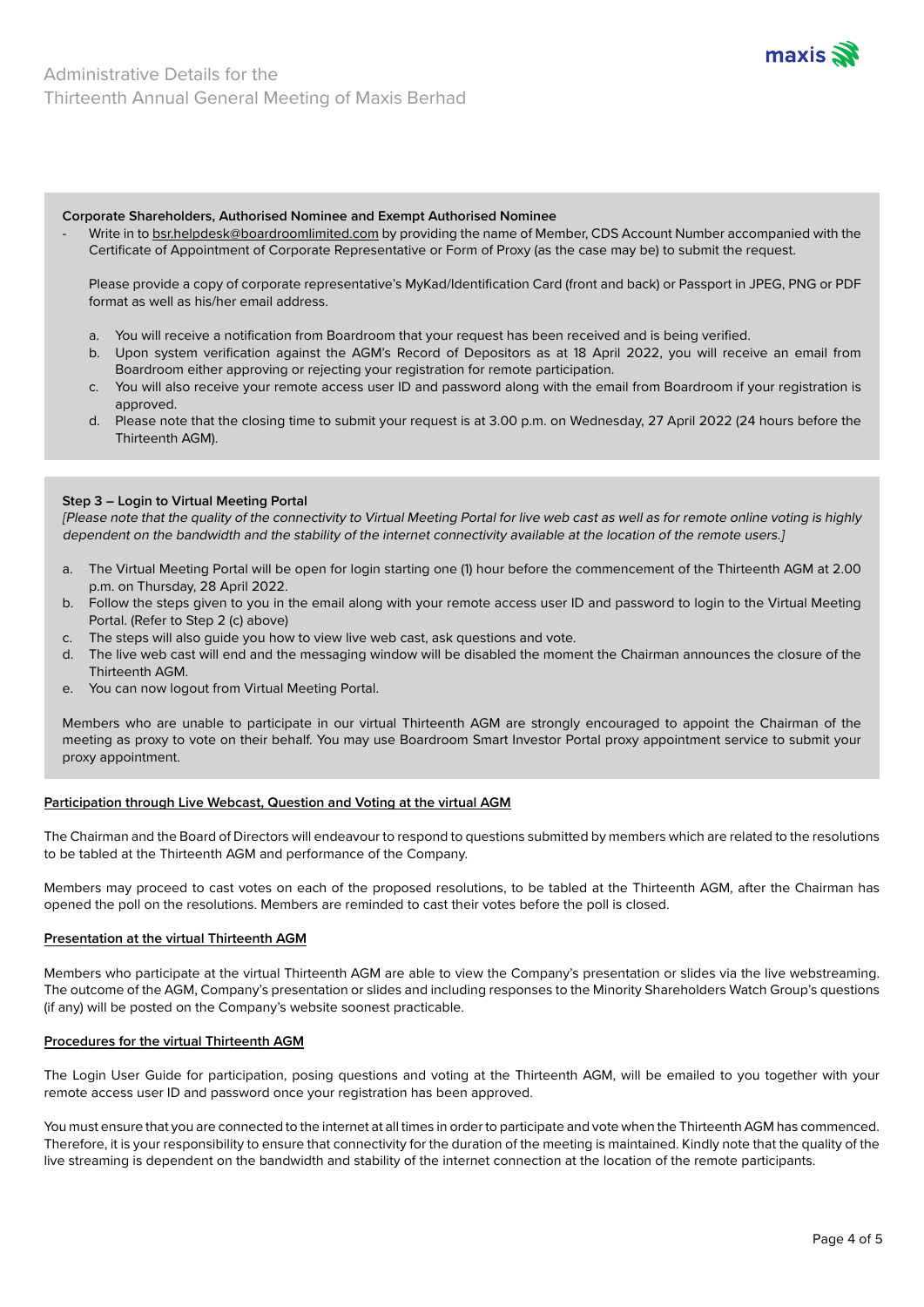# **Corporate Shareholders, Authorised Nominee and Exempt Authorised Nominee**

Write in to bsr.helpdesk@boardroomlimited.com by providing the name of Member, CDS Account Number accompanied with the Certificate of Appointment of Corporate Representative or Form of Proxy (as the case may be) to submit the request.

Please provide a copy of corporate representative's MyKad/Identification Card (front and back) or Passport in JPEG, PNG or PDF format as well as his/her email address.

- a. You will receive a notification from Boardroom that your request has been received and is being verified.
- b. Upon system verification against the AGM's Record of Depositors as at 18 April 2022, you will receive an email from Boardroom either approving or rejecting your registration for remote participation.
- c. You will also receive your remote access user ID and password along with the email from Boardroom if your registration is approved.
- d. Please note that the closing time to submit your request is at 3.00 p.m. on Wednesday, 27 April 2022 (24 hours before the Thirteenth AGM).

# **Step 3 – Login to Virtual Meeting Portal**

[Please note that the quality of the connectivity to Virtual Meeting Portal for live web cast as well as for remote online voting is highly dependent on the bandwidth and the stability of the internet connectivity available at the location of the remote users.]

- a. The Virtual Meeting Portal will be open for login starting one (1) hour before the commencement of the Thirteenth AGM at 2.00 p.m. on Thursday, 28 April 2022.
- b. Follow the steps given to you in the email along with your remote access user ID and password to login to the Virtual Meeting Portal. (Refer to Step 2 (c) above)
- c. The steps will also guide you how to view live web cast, ask questions and vote.
- d. The live web cast will end and the messaging window will be disabled the moment the Chairman announces the closure of the Thirteenth AGM.
- e. You can now logout from Virtual Meeting Portal.

Members who are unable to participate in our virtual Thirteenth AGM are strongly encouraged to appoint the Chairman of the meeting as proxy to vote on their behalf. You may use Boardroom Smart Investor Portal proxy appointment service to submit your proxy appointment.

# **Participation through Live Webcast, Question and Voting at the virtual AGM**

The Chairman and the Board of Directors will endeavour to respond to questions submitted by members which are related to the resolutions to be tabled at the Thirteenth AGM and performance of the Company.

Members may proceed to cast votes on each of the proposed resolutions, to be tabled at the Thirteenth AGM, after the Chairman has opened the poll on the resolutions. Members are reminded to cast their votes before the poll is closed.

## **Presentation at the virtual Thirteenth AGM**

Members who participate at the virtual Thirteenth AGM are able to view the Company's presentation or slides via the live webstreaming. The outcome of the AGM, Company's presentation or slides and including responses to the Minority Shareholders Watch Group's questions (if any) will be posted on the Company's website soonest practicable.

## **Procedures for the virtual Thirteenth AGM**

The Login User Guide for participation, posing questions and voting at the Thirteenth AGM, will be emailed to you together with your remote access user ID and password once your registration has been approved.

You must ensure that you are connected to the internet at all times in order to participate and vote when the Thirteenth AGM has commenced. Therefore, it is your responsibility to ensure that connectivity for the duration of the meeting is maintained. Kindly note that the quality of the live streaming is dependent on the bandwidth and stability of the internet connection at the location of the remote participants.